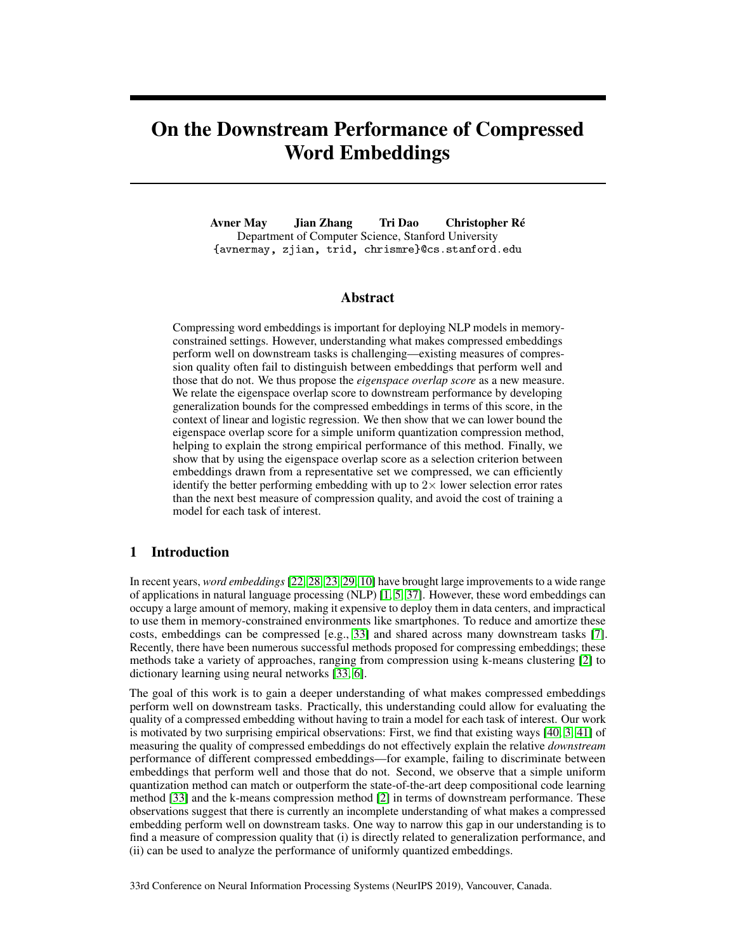# On the Downstream Performance of Compressed Word Embeddings

Avner May Jian Zhang Tri Dao Christopher Ré Department of Computer Science, Stanford University {avnermay, zjian, trid, chrismre}@cs.stanford.edu

# Abstract

Compressing word embeddings is important for deploying NLP models in memoryconstrained settings. However, understanding what makes compressed embeddings perform well on downstream tasks is challenging—existing measures of compression quality often fail to distinguish between embeddings that perform well and those that do not. We thus propose the *eigenspace overlap score* as a new measure. We relate the eigenspace overlap score to downstream performance by developing generalization bounds for the compressed embeddings in terms of this score, in the context of linear and logistic regression. We then show that we can lower bound the eigenspace overlap score for a simple uniform quantization compression method, helping to explain the strong empirical performance of this method. Finally, we show that by using the eigenspace overlap score as a selection criterion between embeddings drawn from a representative set we compressed, we can efficiently identify the better performing embedding with up to  $2\times$  lower selection error rates than the next best measure of compression quality, and avoid the cost of training a model for each task of interest.

# 1 Introduction

In recent years, *word embeddings* [22, 28, 23, 29, 10] have brought large improvements to a wide range of applications in natural language processing (NLP) [1, 5, 37]. However, these word embeddings can occupy a large amount of memory, making it expensive to deploy them in data centers, and impractical to use them in memory-constrained environments like smartphones. To reduce and amortize these costs, embeddings can be compressed [e.g., 33] and shared across many downstream tasks [7]. Recently, there have been numerous successful methods proposed for compressing embeddings; these methods take a variety of approaches, ranging from compression using k-means clustering [2] to dictionary learning using neural networks [33, 6].

The goal of this work is to gain a deeper understanding of what makes compressed embeddings perform well on downstream tasks. Practically, this understanding could allow for evaluating the quality of a compressed embedding without having to train a model for each task of interest. Our work is motivated by two surprising empirical observations: First, we find that existing ways [40, 3, 41] of measuring the quality of compressed embeddings do not effectively explain the relative *downstream* performance of different compressed embeddings—for example, failing to discriminate between embeddings that perform well and those that do not. Second, we observe that a simple uniform quantization method can match or outperform the state-of-the-art deep compositional code learning method [33] and the k-means compression method [2] in terms of downstream performance. These observations suggest that there is currently an incomplete understanding of what makes a compressed embedding perform well on downstream tasks. One way to narrow this gap in our understanding is to find a measure of compression quality that (i) is directly related to generalization performance, and (ii) can be used to analyze the performance of uniformly quantized embeddings.

33rd Conference on Neural Information Processing Systems (NeurIPS 2019), Vancouver, Canada.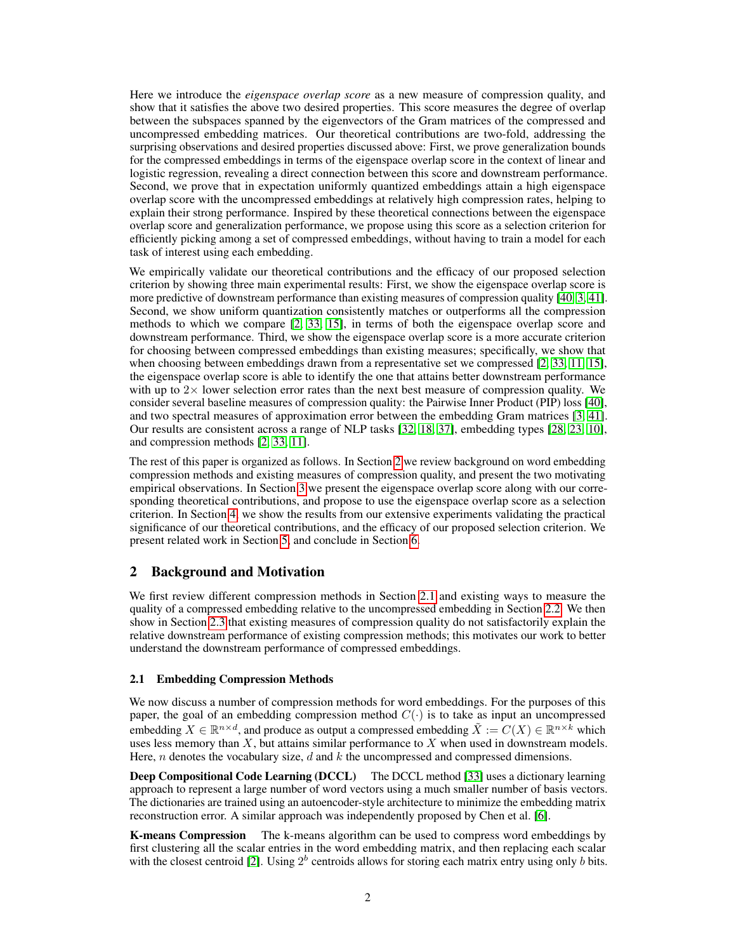Here we introduce the *eigenspace overlap score* as a new measure of compression quality, and show that it satisfies the above two desired properties. This score measures the degree of overlap between the subspaces spanned by the eigenvectors of the Gram matrices of the compressed and uncompressed embedding matrices. Our theoretical contributions are two-fold, addressing the surprising observations and desired properties discussed above: First, we prove generalization bounds for the compressed embeddings in terms of the eigenspace overlap score in the context of linear and logistic regression, revealing a direct connection between this score and downstream performance. Second, we prove that in expectation uniformly quantized embeddings attain a high eigenspace overlap score with the uncompressed embeddings at relatively high compression rates, helping to explain their strong performance. Inspired by these theoretical connections between the eigenspace overlap score and generalization performance, we propose using this score as a selection criterion for efficiently picking among a set of compressed embeddings, without having to train a model for each task of interest using each embedding.

We empirically validate our theoretical contributions and the efficacy of our proposed selection criterion by showing three main experimental results: First, we show the eigenspace overlap score is more predictive of downstream performance than existing measures of compression quality [40, 3, 41]. Second, we show uniform quantization consistently matches or outperforms all the compression methods to which we compare [2, 33, 15], in terms of both the eigenspace overlap score and downstream performance. Third, we show the eigenspace overlap score is a more accurate criterion for choosing between compressed embeddings than existing measures; specifically, we show that when choosing between embeddings drawn from a representative set we compressed [2, 33, 11, 15], the eigenspace overlap score is able to identify the one that attains better downstream performance with up to  $2\times$  lower selection error rates than the next best measure of compression quality. We consider several baseline measures of compression quality: the Pairwise Inner Product (PIP) loss [40], and two spectral measures of approximation error between the embedding Gram matrices [3, 41]. Our results are consistent across a range of NLP tasks [32, 18, 37], embedding types [28, 23, 10], and compression methods [2, 33, 11].

The rest of this paper is organized as follows. In Section 2 we review background on word embedding compression methods and existing measures of compression quality, and present the two motivating empirical observations. In Section 3 we present the eigenspace overlap score along with our corresponding theoretical contributions, and propose to use the eigenspace overlap score as a selection criterion. In Section 4, we show the results from our extensive experiments validating the practical significance of our theoretical contributions, and the efficacy of our proposed selection criterion. We present related work in Section 5, and conclude in Section 6.

# 2 Background and Motivation

We first review different compression methods in Section 2.1 and existing ways to measure the quality of a compressed embedding relative to the uncompressed embedding in Section 2.2. We then show in Section 2.3 that existing measures of compression quality do not satisfactorily explain the relative downstream performance of existing compression methods; this motivates our work to better understand the downstream performance of compressed embeddings.

#### 2.1 Embedding Compression Methods

We now discuss a number of compression methods for word embeddings. For the purposes of this paper, the goal of an embedding compression method  $C(\cdot)$  is to take as input an uncompressed embedding  $X \in \mathbb{R}^{n \times d}$ , and produce as output a compressed embedding  $\tilde{X} := C(X) \in \mathbb{R}^{n \times k}$  which uses less memory than  $X$ , but attains similar performance to  $X$  when used in downstream models. Here,  $n$  denotes the vocabulary size,  $d$  and  $k$  the uncompressed and compressed dimensions.

Deep Compositional Code Learning (DCCL) The DCCL method [33] uses a dictionary learning approach to represent a large number of word vectors using a much smaller number of basis vectors. The dictionaries are trained using an autoencoder-style architecture to minimize the embedding matrix reconstruction error. A similar approach was independently proposed by Chen et al. [6].

K-means Compression The k-means algorithm can be used to compress word embeddings by first clustering all the scalar entries in the word embedding matrix, and then replacing each scalar with the closest centroid [2]. Using  $2^b$  centroids allows for storing each matrix entry using only  $b$  bits.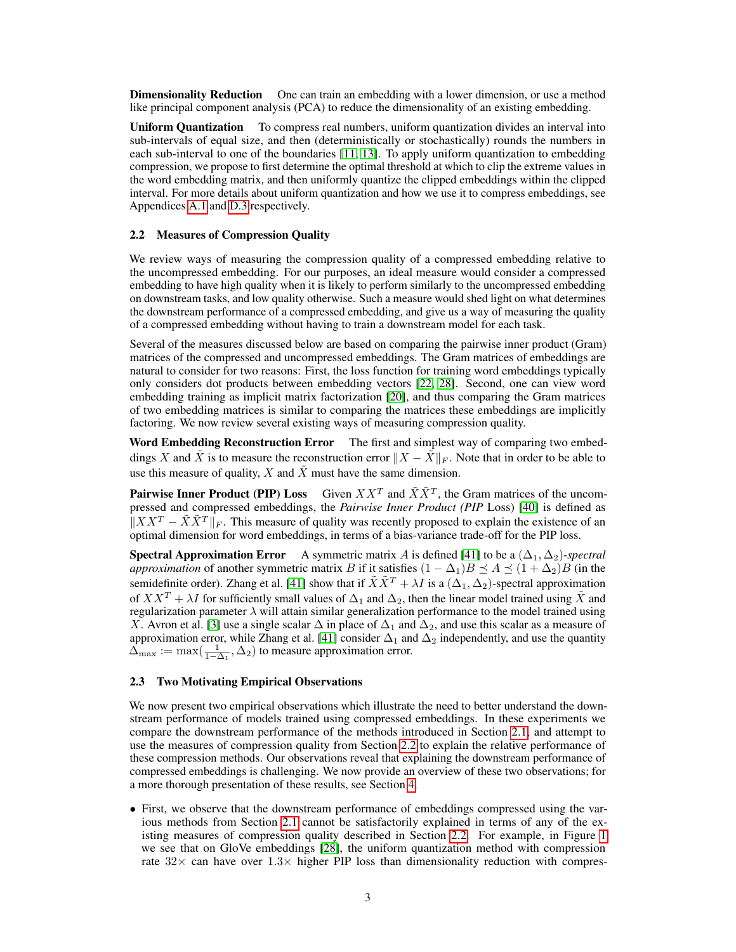**Dimensionality Reduction** One can train an embedding with a lower dimension, or use a method like principal component analysis (PCA) to reduce the dimensionality of an existing embedding.

Uniform Quantization To compress real numbers, uniform quantization divides an interval into sub-intervals of equal size, and then (deterministically or stochastically) rounds the numbers in each sub-interval to one of the boundaries [11, 13]. To apply uniform quantization to embedding compression, we propose to first determine the optimal threshold at which to clip the extreme values in the word embedding matrix, and then uniformly quantize the clipped embeddings within the clipped interval. For more details about uniform quantization and how we use it to compress embeddings, see Appendices A.1 and D.3 respectively.

### 2.2 Measures of Compression Quality

We review ways of measuring the compression quality of a compressed embedding relative to the uncompressed embedding. For our purposes, an ideal measure would consider a compressed embedding to have high quality when it is likely to perform similarly to the uncompressed embedding on downstream tasks, and low quality otherwise. Such a measure would shed light on what determines the downstream performance of a compressed embedding, and give us a way of measuring the quality of a compressed embedding without having to train a downstream model for each task.

Several of the measures discussed below are based on comparing the pairwise inner product (Gram) matrices of the compressed and uncompressed embeddings. The Gram matrices of embeddings are natural to consider for two reasons: First, the loss function for training word embeddings typically only considers dot products between embedding vectors [22, 28]. Second, one can view word embedding training as implicit matrix factorization [20], and thus comparing the Gram matrices of two embedding matrices is similar to comparing the matrices these embeddings are implicitly factoring. We now review several existing ways of measuring compression quality.

Word Embedding Reconstruction Error The first and simplest way of comparing two embeddings X and  $\bar{X}$  is to measure the reconstruction error  $||X - \bar{X}||_F$ . Note that in order to be able to use this measure of quality, X and  $\tilde{X}$  must have the same dimension.

**Pairwise Inner Product (PIP) Loss** Given  $XX<sup>T</sup>$  and  $\tilde{X}\tilde{X}<sup>T</sup>$ , the Gram matrices of the uncompressed and compressed embeddings, the *Pairwise Inner Product (PIP* Loss) [40] is defined as  $\|XX^T - \tilde{X}\tilde{X}^T\|_F$ . This measure of quality was recently proposed to explain the existence of an optimal dimension for word embeddings, in terms of a bias-variance trade-off for the PIP loss.

**Spectral Approximation Error** A symmetric matrix A is defined [41] to be a  $(\Delta_1, \Delta_2)$ -spectral *approximation* of another symmetric matrix B if it satisfies  $(1 - \Delta_1)B \preceq A \preceq (1 + \Delta_2)B$  (in the semidefinite order). Zhang et al. [41] show that if  $\tilde{X}\tilde{X}^T + \lambda I$  is a  $(\Delta_1, \Delta_2)$ -spectral approximation of  $XX^T + \lambda I$  for sufficiently small values of  $\Delta_1$  and  $\Delta_2$ , then the linear model trained using  $\tilde{X}$  and regularization parameter  $\lambda$  will attain similar generalization performance to the model trained using X. Avron et al. [3] use a single scalar  $\Delta$  in place of  $\Delta_1$  and  $\Delta_2$ , and use this scalar as a measure of approximation error, while Zhang et al. [41] consider  $\Delta_1$  and  $\Delta_2$  independently, and use the quantity  $\hat{\Delta}_{\text{max}} := \max(\frac{1}{1-\Delta_1}, \Delta_2)$  to measure approximation error.

## 2.3 Two Motivating Empirical Observations

We now present two empirical observations which illustrate the need to better understand the downstream performance of models trained using compressed embeddings. In these experiments we compare the downstream performance of the methods introduced in Section 2.1, and attempt to use the measures of compression quality from Section 2.2 to explain the relative performance of these compression methods. Our observations reveal that explaining the downstream performance of compressed embeddings is challenging. We now provide an overview of these two observations; for a more thorough presentation of these results, see Section 4.

• First, we observe that the downstream performance of embeddings compressed using the various methods from Section 2.1 cannot be satisfactorily explained in terms of any of the existing measures of compression quality described in Section 2.2. For example, in Figure 1 we see that on GloVe embeddings [28], the uniform quantization method with compression rate  $32\times$  can have over  $1.3\times$  higher PIP loss than dimensionality reduction with compres-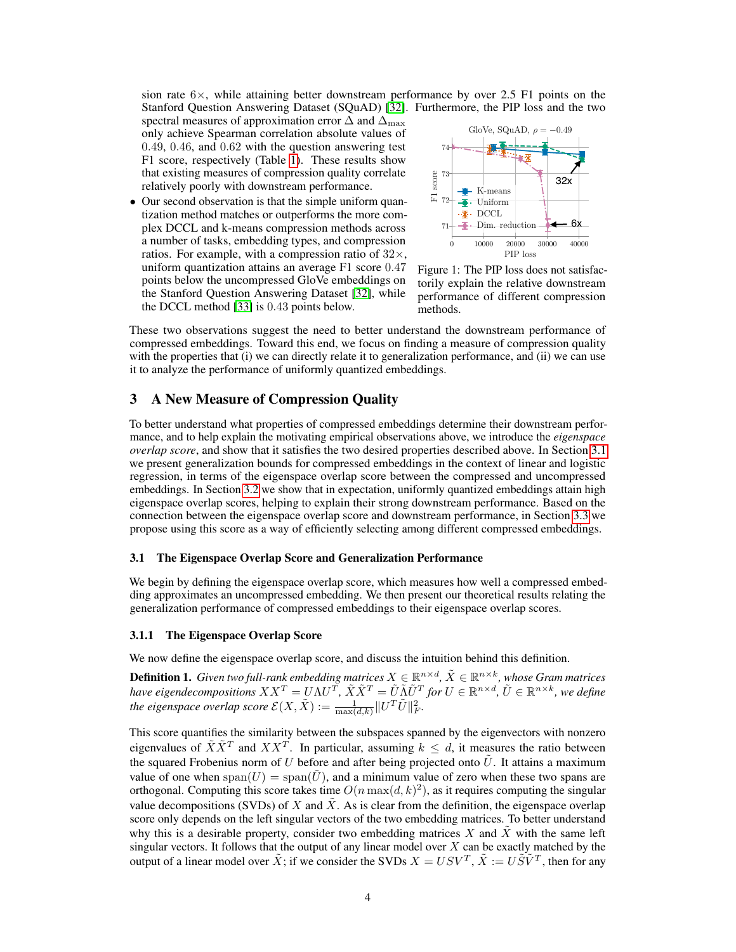sion rate  $6\times$ , while attaining better downstream performance by over 2.5 F1 points on the Stanford Question Answering Dataset (SQuAD) [32]. Furthermore, the PIP loss and the two

spectral measures of approximation error  $\Delta$  and  $\Delta_{\text{max}}$ only achieve Spearman correlation absolute values of 0.49, 0.46, and 0.62 with the question answering test F1 score, respectively (Table 1). These results show that existing measures of compression quality correlate relatively poorly with downstream performance.

• Our second observation is that the simple uniform quantization method matches or outperforms the more complex DCCL and k-means compression methods across a number of tasks, embedding types, and compression ratios. For example, with a compression ratio of  $32\times$ , uniform quantization attains an average F1 score 0.47 points below the uncompressed GloVe embeddings on the Stanford Question Answering Dataset [32], while the DCCL method [33] is 0.43 points below.



Figure 1: The PIP loss does not satisfactorily explain the relative downstream performance of different compression methods.

These two observations suggest the need to better understand the downstream performance of compressed embeddings. Toward this end, we focus on finding a measure of compression quality with the properties that (i) we can directly relate it to generalization performance, and (ii) we can use it to analyze the performance of uniformly quantized embeddings.

# 3 A New Measure of Compression Quality

To better understand what properties of compressed embeddings determine their downstream performance, and to help explain the motivating empirical observations above, we introduce the *eigenspace overlap score*, and show that it satisfies the two desired properties described above. In Section 3.1 we present generalization bounds for compressed embeddings in the context of linear and logistic regression, in terms of the eigenspace overlap score between the compressed and uncompressed embeddings. In Section 3.2 we show that in expectation, uniformly quantized embeddings attain high eigenspace overlap scores, helping to explain their strong downstream performance. Based on the connection between the eigenspace overlap score and downstream performance, in Section 3.3 we propose using this score as a way of efficiently selecting among different compressed embeddings.

#### 3.1 The Eigenspace Overlap Score and Generalization Performance

We begin by defining the eigenspace overlap score, which measures how well a compressed embedding approximates an uncompressed embedding. We then present our theoretical results relating the generalization performance of compressed embeddings to their eigenspace overlap scores.

#### 3.1.1 The Eigenspace Overlap Score

We now define the eigenspace overlap score, and discuss the intuition behind this definition.

**Definition 1.** Given two full-rank embedding matrices  $X \in \mathbb{R}^{n \times d}$ ,  $\tilde{X} \in \mathbb{R}^{n \times k}$ , whose Gram matrices *have eigendecompositions*  $XX^T = U\Lambda U^T$ ,  $\tilde{X}\tilde{X}^T = \tilde{U}\tilde{\Lambda}\tilde{U}^T$  for  $U \in \mathbb{R}^{n \times d}$ ,  $\tilde{U} \in \mathbb{R}^{n \times k}$ , we define the eigenspace overlap score  $\mathcal{E}(X, \tilde{X}) := \frac{1}{\max(d, k)} \| U^T \tilde{U} \|_F^2$ .

This score quantifies the similarity between the subspaces spanned by the eigenvectors with nonzero eigenvalues of  $\tilde{X}\tilde{X}^T$  and  $XX^T$ . In particular, assuming  $k \leq d$ , it measures the ratio between the squared Frobenius norm of U before and after being projected onto  $\tilde{U}$ . It attains a maximum value of one when  $\text{span}(U) = \text{span}(\tilde{U})$ , and a minimum value of zero when these two spans are orthogonal. Computing this score takes time  $O(n \max(d, k)^2)$ , as it requires computing the singular value decompositions (SVDs) of X and  $\tilde{X}$ . As is clear from the definition, the eigenspace overlap score only depends on the left singular vectors of the two embedding matrices. To better understand why this is a desirable property, consider two embedding matrices  $X$  and  $X$  with the same left singular vectors. It follows that the output of any linear model over  $X$  can be exactly matched by the output of a linear model over  $\tilde{X}$ ; if we consider the SVDs  $X = USV^T$ ,  $\tilde{X} := U\tilde{S}\tilde{V}^T$ , then for any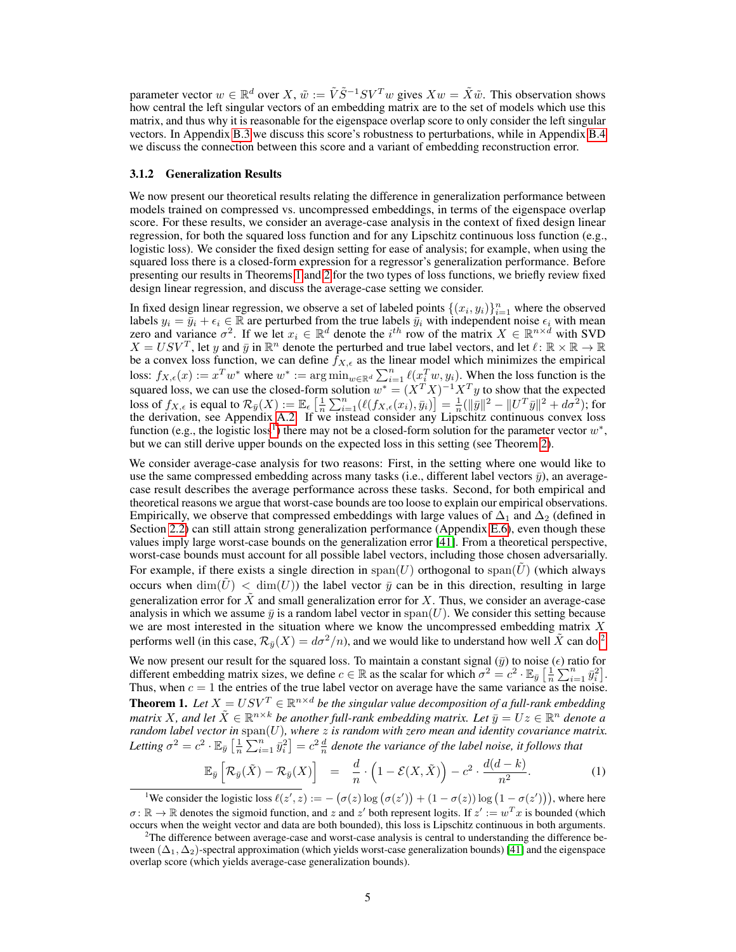parameter vector  $w \in \mathbb{R}^d$  over  $X$ ,  $\tilde{w} := \tilde{V}\tilde{S}^{-1}SV^Tw$  gives  $Xw = \tilde{X}\tilde{w}$ . This observation shows how central the left singular vectors of an embedding matrix are to the set of models which use this matrix, and thus why it is reasonable for the eigenspace overlap score to only consider the left singular vectors. In Appendix B.3 we discuss this score's robustness to perturbations, while in Appendix B.4 we discuss the connection between this score and a variant of embedding reconstruction error.

#### 3.1.2 Generalization Results

We now present our theoretical results relating the difference in generalization performance between models trained on compressed vs. uncompressed embeddings, in terms of the eigenspace overlap score. For these results, we consider an average-case analysis in the context of fixed design linear regression, for both the squared loss function and for any Lipschitz continuous loss function (e.g., logistic loss). We consider the fixed design setting for ease of analysis; for example, when using the squared loss there is a closed-form expression for a regressor's generalization performance. Before presenting our results in Theorems 1 and 2 for the two types of loss functions, we briefly review fixed design linear regression, and discuss the average-case setting we consider.

In fixed design linear regression, we observe a set of labeled points  $\{(x_i, y_i)\}_{i=1}^n$  where the observed labels  $y_i = \overline{y}_i + \epsilon_i \in \mathbb{R}$  are perturbed from the true labels  $\overline{y}_i$  with independent noise  $\epsilon_i$  with mean zero and variance  $\sigma^2$ . If we let  $x_i \in \mathbb{R}^d$  denote the  $i^{th}$  row of the matrix  $X \in \mathbb{R}^{n \times d}$   $X = USV^T$ , let y and y in  $\mathbb{R}^n$  denote the perturbed and true label vectors, and let  $\ell : \mathbb{R} \times \mathbb{R} \to \mathbb{R}$ be a convex loss function, we can define  $f_{X,\epsilon}$  as the linear model which minimizes the empirical loss:  $f_{X,\epsilon}(x) := x^T w^*$  where  $w^* := \arg \min_{w \in \mathbb{R}^d} \sum_{i=1}^n \ell(x_i^T w, y_i)$ . When the loss function is the squared loss, we can use the closed-form solution  $w^* = (X^T X)^{-1} X^T y$  to show that the expected loss of  $f_{X,\epsilon}$  is equal to  $\mathcal{R}_{\bar{y}}(X) := \mathbb{E}_{\epsilon} \left[ \frac{1}{n} \sum_{i=1}^n (\ell(f_{X,\epsilon}(x_i), \bar{y}_i)) \right] = \frac{1}{n} (\|\bar{y}\|^2 - \|U^T\bar{y}\|^2 + d\sigma^2)$ ; for the derivation, see Appendix A.2. If we instead consider any Lipschitz continuous convex loss function (e.g., the logistic loss<sup>1</sup>) there may not be a closed-form solution for the parameter vector  $w^*$ , but we can still derive upper bounds on the expected loss in this setting (see Theorem 2).

We consider average-case analysis for two reasons: First, in the setting where one would like to use the same compressed embedding across many tasks (i.e., different label vectors  $\bar{y}$ ), an averagecase result describes the average performance across these tasks. Second, for both empirical and theoretical reasons we argue that worst-case bounds are too loose to explain our empirical observations. Empirically, we observe that compressed embeddings with large values of  $\Delta_1$  and  $\Delta_2$  (defined in Section 2.2) can still attain strong generalization performance (Appendix E.6), even though these values imply large worst-case bounds on the generalization error [41]. From a theoretical perspective, worst-case bounds must account for all possible label vectors, including those chosen adversarially. For example, if there exists a single direction in span(U) orthogonal to span( $\tilde{U}$ ) (which always occurs when  $\dim(U) < \dim(U)$  the label vector  $\bar{y}$  can be in this direction, resulting in large generalization error for  $\tilde{X}$  and small generalization error for X. Thus, we consider an average-case analysis in which we assume  $\bar{y}$  is a random label vector in span(U). We consider this setting because we are most interested in the situation where we know the uncompressed embedding matrix  $X$ performs well (in this case,  $\mathcal{R}_{\bar{v}}(X) = d\sigma^2/n$ ), and we would like to understand how well  $\tilde{X}$  can do.<sup>2</sup>

We now present our result for the squared loss. To maintain a constant signal  $(\bar{y})$  to noise  $(\epsilon)$  ratio for different embedding matrix sizes, we define  $c \in \mathbb{R}$  as the scalar for which  $\sigma^2 = c^2 \cdot \mathbb{E}_{\bar{y}} \left[ \frac{1}{n} \sum_{i=1}^n \bar{y}_i^2 \right]$ . Thus, when  $c = 1$  the entries of the true label vector on average have the same variance as the noise. **Theorem 1.** Let  $X = USV^T \in \mathbb{R}^{n \times d}$  be the singular value decomposition of a full-rank embedding *matrix* X, and let  $\tilde{X} \in \mathbb{R}^{n \times k}$  be another full-rank embedding matrix. Let  $\bar{y} = Uz \in \mathbb{R}^n$  denote a *random label vector in* span(U)*, where* z *is random with zero mean and identity covariance matrix.* Letting  $\sigma^2 = c^2 \cdot \mathbb{E}_{\bar{y}} \left[ \frac{1}{n} \sum_{i=1}^n \bar{y}_i^2 \right] = c^2 \frac{d}{n}$  denote the variance of the label noise, it follows that

$$
\mathbb{E}_{\bar{y}}\left[\mathcal{R}_{\bar{y}}(\tilde{X}) - \mathcal{R}_{\bar{y}}(X)\right] = \frac{d}{n} \cdot \left(1 - \mathcal{E}(X,\tilde{X})\right) - c^2 \cdot \frac{d(d-k)}{n^2}.
$$
 (1)

<sup>1</sup>We consider the logistic loss  $\ell(z', z) := -(\sigma(z) \log (\sigma(z')) + (1 - \sigma(z)) \log (1 - \sigma(z'))$ , where here  $\sigma: \mathbb{R} \to \mathbb{R}$  denotes the sigmoid function, and z and z' both represent logits. If  $z' := w^T x$  is bounded (which occurs when the weight vector and data are both bounded), this loss is Lipschitz continuous in both arguments.

<sup>&</sup>lt;sup>2</sup>The difference between average-case and worst-case analysis is central to understanding the difference between  $(\Delta_1, \Delta_2)$ -spectral approximation (which yields worst-case generalization bounds) [41] and the eigenspace overlap score (which yields average-case generalization bounds).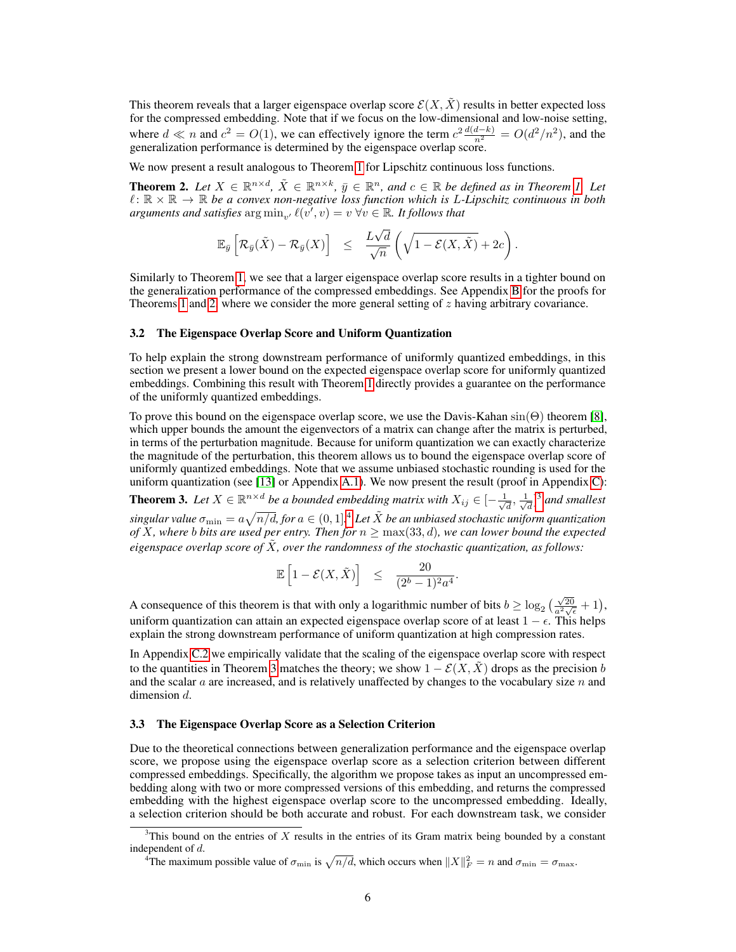This theorem reveals that a larger eigenspace overlap score  $\mathcal{E}(X, \tilde{X})$  results in better expected loss for the compressed embedding. Note that if we focus on the low-dimensional and low-noise setting, where  $d \ll n$  and  $c^2 = O(1)$ , we can effectively ignore the term  $c^2 \frac{d(d-k)}{n^2} = O(d^2/n^2)$ , and the generalization performance is determined by the eigenspace overlap score.

We now present a result analogous to Theorem 1 for Lipschitz continuous loss functions.

**Theorem 2.** Let  $X \in \mathbb{R}^{n \times d}$ ,  $\tilde{X} \in \mathbb{R}^{n \times k}$ ,  $\bar{y} \in \mathbb{R}^{n}$ , and  $c \in \mathbb{R}$  be defined as in Theorem 1. Let  $\ell : \mathbb{R} \times \mathbb{R} \to \mathbb{R}$  be a convex non-negative loss function which is L-Lipschitz continuous in both *arguments and satisfies*  $\arg \min_{v'} \ell(v', v) = v \ \forall v \in \mathbb{R}$ . It follows that

$$
\mathbb{E}_{\bar{y}}\left[\mathcal{R}_{\bar{y}}(\tilde{X})-\mathcal{R}_{\bar{y}}(X)\right] \leq \frac{L\sqrt{d}}{\sqrt{n}}\left(\sqrt{1-\mathcal{E}(X,\tilde{X})}+2c\right).
$$

Similarly to Theorem 1, we see that a larger eigenspace overlap score results in a tighter bound on the generalization performance of the compressed embeddings. See Appendix B for the proofs for Theorems 1 and 2, where we consider the more general setting of z having arbitrary covariance.

#### 3.2 The Eigenspace Overlap Score and Uniform Quantization

To help explain the strong downstream performance of uniformly quantized embeddings, in this section we present a lower bound on the expected eigenspace overlap score for uniformly quantized embeddings. Combining this result with Theorem 1 directly provides a guarantee on the performance of the uniformly quantized embeddings.

To prove this bound on the eigenspace overlap score, we use the Davis-Kahan  $sin(\Theta)$  theorem [8], which upper bounds the amount the eigenvectors of a matrix can change after the matrix is perturbed, in terms of the perturbation magnitude. Because for uniform quantization we can exactly characterize the magnitude of the perturbation, this theorem allows us to bound the eigenspace overlap score of uniformly quantized embeddings. Note that we assume unbiased stochastic rounding is used for the uniform quantization (see [13] or Appendix A.1). We now present the result (proof in Appendix C):

**Theorem 3.** Let  $X \in \mathbb{R}^{n \times d}$  be a bounded embedding matrix with  $X_{ij} \in \left[-\frac{1}{\sqrt{d}}\right]$  $\frac{1}{d}, \frac{1}{\sqrt{2}}$  $\frac{1}{d}$ <sup>3</sup> and smallest  $singular value \space \sigma_{\min} = a \sqrt{n/d}$ , for  $a \in (0,1]^4$  *Let*  $\tilde{X}$  *be an unbiased stochastic uniform quantization of X*, where  $b$  bits are used per entry. Then for  $n \geq \max(33,d)$ , we can lower bound the expected *eigenspace overlap score of* X˜*, over the randomness of the stochastic quantization, as follows:*

$$
\mathbb{E}\left[1-\mathcal{E}(X,\tilde{X})\right] \leq \frac{20}{(2^b-1)^2a^4}.
$$

A consequence of this theorem is that with only a logarithmic number of bits  $b \ge \log_2(\frac{\sqrt{20}}{a^2\sqrt{\epsilon}}+1)$ , uniform quantization can attain an expected eigenspace overlap score of at least  $1 - \epsilon$ . This helps explain the strong downstream performance of uniform quantization at high compression rates.

In Appendix C.2 we empirically validate that the scaling of the eigenspace overlap score with respect to the quantities in Theorem 3 matches the theory; we show  $1 - \mathcal{E}(X, X)$  drops as the precision b and the scalar  $a$  are increased, and is relatively unaffected by changes to the vocabulary size  $n$  and dimension d.

#### 3.3 The Eigenspace Overlap Score as a Selection Criterion

Due to the theoretical connections between generalization performance and the eigenspace overlap score, we propose using the eigenspace overlap score as a selection criterion between different compressed embeddings. Specifically, the algorithm we propose takes as input an uncompressed embedding along with two or more compressed versions of this embedding, and returns the compressed embedding with the highest eigenspace overlap score to the uncompressed embedding. Ideally, a selection criterion should be both accurate and robust. For each downstream task, we consider

 $3$ This bound on the entries of X results in the entries of its Gram matrix being bounded by a constant independent of d.

<sup>&</sup>lt;sup>4</sup>The maximum possible value of  $\sigma_{\min}$  is  $\sqrt{n/d}$ , which occurs when  $||X||_F^2 = n$  and  $\sigma_{\min} = \sigma_{\max}$ .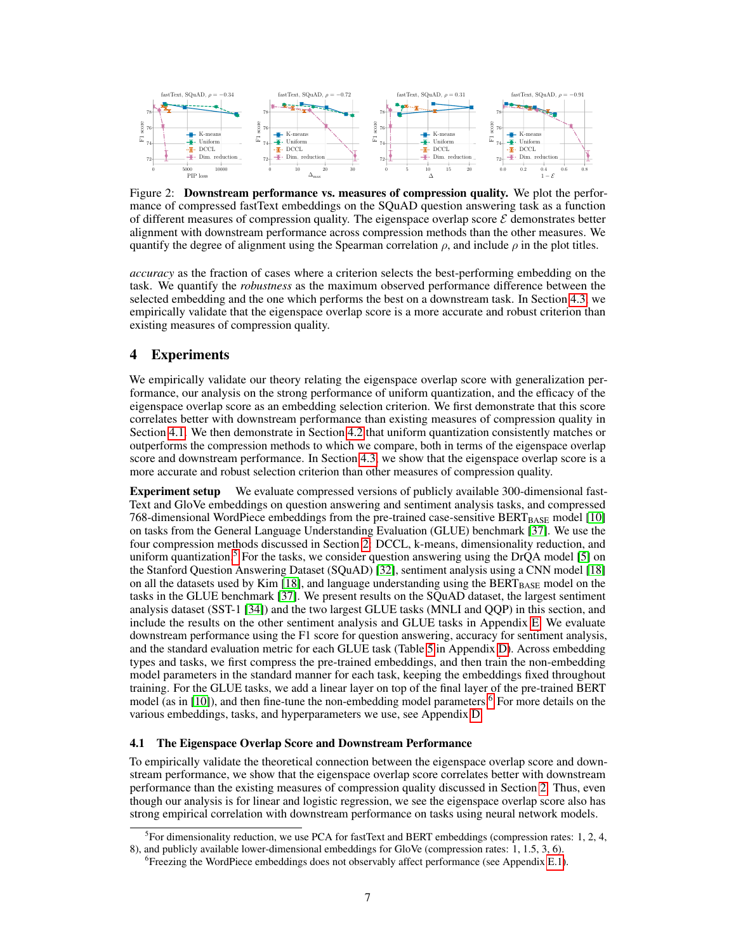

Figure 2: **Downstream performance vs. measures of compression quality.** We plot the performance of compressed fastText embeddings on the SQuAD question answering task as a function of different measures of compression quality. The eigenspace overlap score  $\mathcal E$  demonstrates better alignment with downstream performance across compression methods than the other measures. We quantify the degree of alignment using the Spearman correlation  $\rho$ , and include  $\rho$  in the plot titles.

*accuracy* as the fraction of cases where a criterion selects the best-performing embedding on the task. We quantify the *robustness* as the maximum observed performance difference between the selected embedding and the one which performs the best on a downstream task. In Section 4.3, we empirically validate that the eigenspace overlap score is a more accurate and robust criterion than existing measures of compression quality.

# 4 Experiments

We empirically validate our theory relating the eigenspace overlap score with generalization performance, our analysis on the strong performance of uniform quantization, and the efficacy of the eigenspace overlap score as an embedding selection criterion. We first demonstrate that this score correlates better with downstream performance than existing measures of compression quality in Section 4.1. We then demonstrate in Section 4.2 that uniform quantization consistently matches or outperforms the compression methods to which we compare, both in terms of the eigenspace overlap score and downstream performance. In Section 4.3, we show that the eigenspace overlap score is a more accurate and robust selection criterion than other measures of compression quality.

Experiment setup We evaluate compressed versions of publicly available 300-dimensional fast-Text and GloVe embeddings on question answering and sentiment analysis tasks, and compressed 768-dimensional WordPiece embeddings from the pre-trained case-sensitive  $BERT_{BASE}$  model [10] on tasks from the General Language Understanding Evaluation (GLUE) benchmark [37]. We use the four compression methods discussed in Section 2: DCCL, k-means, dimensionality reduction, and uniform quantization. $5$  For the tasks, we consider question answering using the DrQA model [5] on the Stanford Question Answering Dataset (SQuAD) [32], sentiment analysis using a CNN model [18] on all the datasets used by Kim [18], and language understanding using the BERT<sub>BASE</sub> model on the tasks in the GLUE benchmark [37]. We present results on the SQuAD dataset, the largest sentiment analysis dataset (SST-1 [34]) and the two largest GLUE tasks (MNLI and QQP) in this section, and include the results on the other sentiment analysis and GLUE tasks in Appendix E. We evaluate downstream performance using the F1 score for question answering, accuracy for sentiment analysis, and the standard evaluation metric for each GLUE task (Table 5 in Appendix D). Across embedding types and tasks, we first compress the pre-trained embeddings, and then train the non-embedding model parameters in the standard manner for each task, keeping the embeddings fixed throughout training. For the GLUE tasks, we add a linear layer on top of the final layer of the pre-trained BERT model (as in [10]), and then fine-tune the non-embedding model parameters.<sup>6</sup> For more details on the various embeddings, tasks, and hyperparameters we use, see Appendix D.

#### 4.1 The Eigenspace Overlap Score and Downstream Performance

To empirically validate the theoretical connection between the eigenspace overlap score and downstream performance, we show that the eigenspace overlap score correlates better with downstream performance than the existing measures of compression quality discussed in Section 2. Thus, even though our analysis is for linear and logistic regression, we see the eigenspace overlap score also has strong empirical correlation with downstream performance on tasks using neural network models.

 ${}^{5}$ For dimensionality reduction, we use PCA for fastText and BERT embeddings (compression rates: 1, 2, 4, 8), and publicly available lower-dimensional embeddings for GloVe (compression rates: 1, 1.5, 3, 6).

<sup>&</sup>lt;sup>6</sup> Freezing the WordPiece embeddings does not observably affect performance (see Appendix E.1).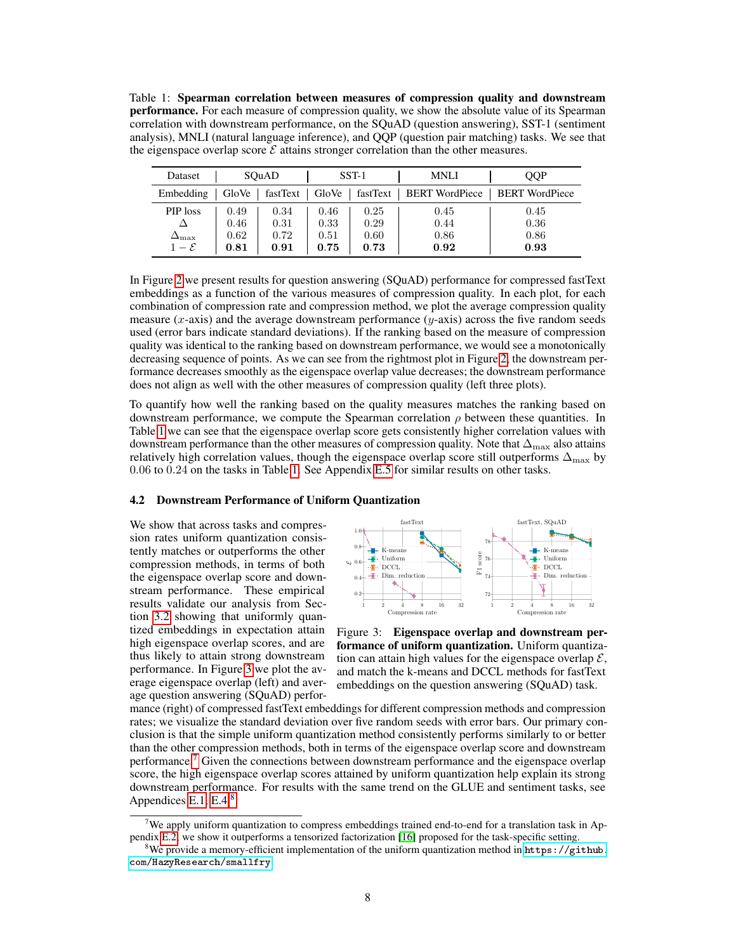Table 1: Spearman correlation between measures of compression quality and downstream performance. For each measure of compression quality, we show the absolute value of its Spearman correlation with downstream performance, on the SQuAD (question answering), SST-1 (sentiment analysis), MNLI (natural language inference), and QQP (question pair matching) tasks. We see that the eigenspace overlap score  $\mathcal E$  attains stronger correlation than the other measures.

| Dataset               |       | SOuAD    |       | SST-1    | <b>MNLI</b>           | OOP                   |
|-----------------------|-------|----------|-------|----------|-----------------------|-----------------------|
| Embedding             | GloVe | fastText | GloVe | fastText | <b>BERT WordPiece</b> | <b>BERT</b> WordPiece |
| PIP loss              | 0.49  | 0.34     | 0.46  | 0.25     | 0.45                  | 0.45                  |
|                       | 0.46  | 0.31     | 0.33  | 0.29     | 0.44                  | 0.36                  |
| $\Delta_{\text{max}}$ | 0.62  | 0.72     | 0.51  | 0.60     | 0.86                  | 0.86                  |
| $1-\mathcal{E}$       | 0.81  | 0.91     | 0.75  | 0.73     | 0.92                  | 0.93                  |

In Figure 2 we present results for question answering (SQuAD) performance for compressed fastText embeddings as a function of the various measures of compression quality. In each plot, for each combination of compression rate and compression method, we plot the average compression quality measure (x-axis) and the average downstream performance ( $y$ -axis) across the five random seeds used (error bars indicate standard deviations). If the ranking based on the measure of compression quality was identical to the ranking based on downstream performance, we would see a monotonically decreasing sequence of points. As we can see from the rightmost plot in Figure 2, the downstream performance decreases smoothly as the eigenspace overlap value decreases; the downstream performance does not align as well with the other measures of compression quality (left three plots).

To quantify how well the ranking based on the quality measures matches the ranking based on downstream performance, we compute the Spearman correlation  $\rho$  between these quantities. In Table 1 we can see that the eigenspace overlap score gets consistently higher correlation values with downstream performance than the other measures of compression quality. Note that  $\Delta_{\text{max}}$  also attains relatively high correlation values, though the eigenspace overlap score still outperforms  $\Delta_{\text{max}}$  by 0.06 to 0.24 on the tasks in Table 1. See Appendix E.5 for similar results on other tasks.

## 4.2 Downstream Performance of Uniform Quantization

We show that across tasks and compression rates uniform quantization consistently matches or outperforms the other compression methods, in terms of both the eigenspace overlap score and downstream performance. These empirical results validate our analysis from Section 3.2 showing that uniformly quantized embeddings in expectation attain high eigenspace overlap scores, and are thus likely to attain strong downstream performance. In Figure 3 we plot the average eigenspace overlap (left) and average question answering (SQuAD) perfor-



Figure 3: Eigenspace overlap and downstream performance of uniform quantization. Uniform quantization can attain high values for the eigenspace overlap  $\mathcal{E}$ , and match the k-means and DCCL methods for fastText embeddings on the question answering (SQuAD) task.

mance (right) of compressed fastText embeddings for different compression methods and compression rates; we visualize the standard deviation over five random seeds with error bars. Our primary conclusion is that the simple uniform quantization method consistently performs similarly to or better than the other compression methods, both in terms of the eigenspace overlap score and downstream performance.7 Given the connections between downstream performance and the eigenspace overlap score, the high eigenspace overlap scores attained by uniform quantization help explain its strong downstream performance. For results with the same trend on the GLUE and sentiment tasks, see Appendices E.1, E.4.8

We apply uniform quantization to compress embeddings trained end-to-end for a translation task in Appendix E.2; we show it outperforms a tensorized factorization [16] proposed for the task-specific setting.

<sup>&</sup>lt;sup>8</sup>We provide a memory-efficient implementation of the uniform quantization method in  $https://github.$ [com/HazyResearch/smallfry](https://github.com/HazyResearch/smallfry).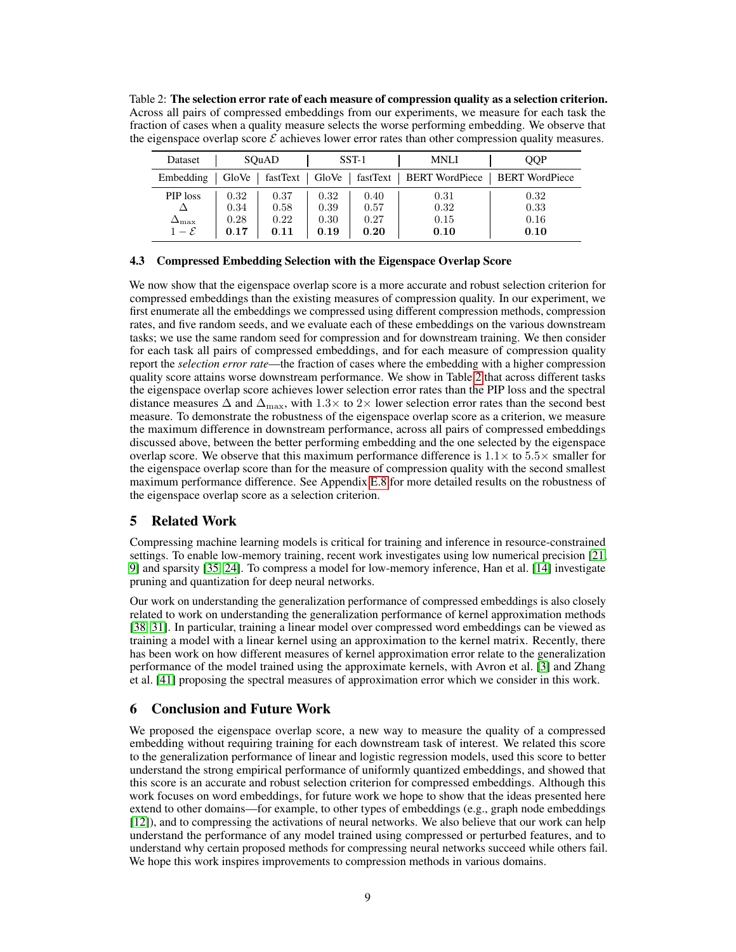Table 2: The selection error rate of each measure of compression quality as a selection criterion. Across all pairs of compressed embeddings from our experiments, we measure for each task the fraction of cases when a quality measure selects the worse performing embedding. We observe that the eigenspace overlap score  $\mathcal E$  achieves lower error rates than other compression quality measures.

| Dataset            |       | SOuAD    |       | $SST-1$ | <b>MNLI</b>               | OOP                   |
|--------------------|-------|----------|-------|---------|---------------------------|-----------------------|
| Embedding          | GloVe | fastText | GloVe |         | fastText   BERT WordPiece | <b>BERT</b> WordPiece |
| PIP loss           | 0.32  | 0.37     | 0.32  | 0.40    | 0.31                      | 0.32                  |
|                    | 0.34  | 0.58     | 0.39  | 0.57    | 0.32                      | 0.33                  |
| $\Delta_{\rm max}$ | 0.28  | 0.22     | 0.30  | 0.27    | 0.15                      | 0.16                  |
| $1-\mathcal{E}$    | 0.17  | 0.11     | 0.19  | 0.20    | 0.10                      | 0.10                  |

# 4.3 Compressed Embedding Selection with the Eigenspace Overlap Score

We now show that the eigenspace overlap score is a more accurate and robust selection criterion for compressed embeddings than the existing measures of compression quality. In our experiment, we first enumerate all the embeddings we compressed using different compression methods, compression rates, and five random seeds, and we evaluate each of these embeddings on the various downstream tasks; we use the same random seed for compression and for downstream training. We then consider for each task all pairs of compressed embeddings, and for each measure of compression quality report the *selection error rate*—the fraction of cases where the embedding with a higher compression quality score attains worse downstream performance. We show in Table 2 that across different tasks the eigenspace overlap score achieves lower selection error rates than the PIP loss and the spectral distance measures  $\Delta$  and  $\Delta_{\text{max}}$ , with 1.3× to 2× lower selection error rates than the second best measure. To demonstrate the robustness of the eigenspace overlap score as a criterion, we measure the maximum difference in downstream performance, across all pairs of compressed embeddings discussed above, between the better performing embedding and the one selected by the eigenspace overlap score. We observe that this maximum performance difference is  $1.1 \times$  to  $5.5 \times$  smaller for the eigenspace overlap score than for the measure of compression quality with the second smallest maximum performance difference. See Appendix E.8 for more detailed results on the robustness of the eigenspace overlap score as a selection criterion.

# 5 Related Work

Compressing machine learning models is critical for training and inference in resource-constrained settings. To enable low-memory training, recent work investigates using low numerical precision [21, 9] and sparsity [35, 24]. To compress a model for low-memory inference, Han et al. [14] investigate pruning and quantization for deep neural networks.

Our work on understanding the generalization performance of compressed embeddings is also closely related to work on understanding the generalization performance of kernel approximation methods [38, 31]. In particular, training a linear model over compressed word embeddings can be viewed as training a model with a linear kernel using an approximation to the kernel matrix. Recently, there has been work on how different measures of kernel approximation error relate to the generalization performance of the model trained using the approximate kernels, with Avron et al. [3] and Zhang et al. [41] proposing the spectral measures of approximation error which we consider in this work.

# 6 Conclusion and Future Work

We proposed the eigenspace overlap score, a new way to measure the quality of a compressed embedding without requiring training for each downstream task of interest. We related this score to the generalization performance of linear and logistic regression models, used this score to better understand the strong empirical performance of uniformly quantized embeddings, and showed that this score is an accurate and robust selection criterion for compressed embeddings. Although this work focuses on word embeddings, for future work we hope to show that the ideas presented here extend to other domains—for example, to other types of embeddings (e.g., graph node embeddings [12]), and to compressing the activations of neural networks. We also believe that our work can help understand the performance of any model trained using compressed or perturbed features, and to understand why certain proposed methods for compressing neural networks succeed while others fail. We hope this work inspires improvements to compression methods in various domains.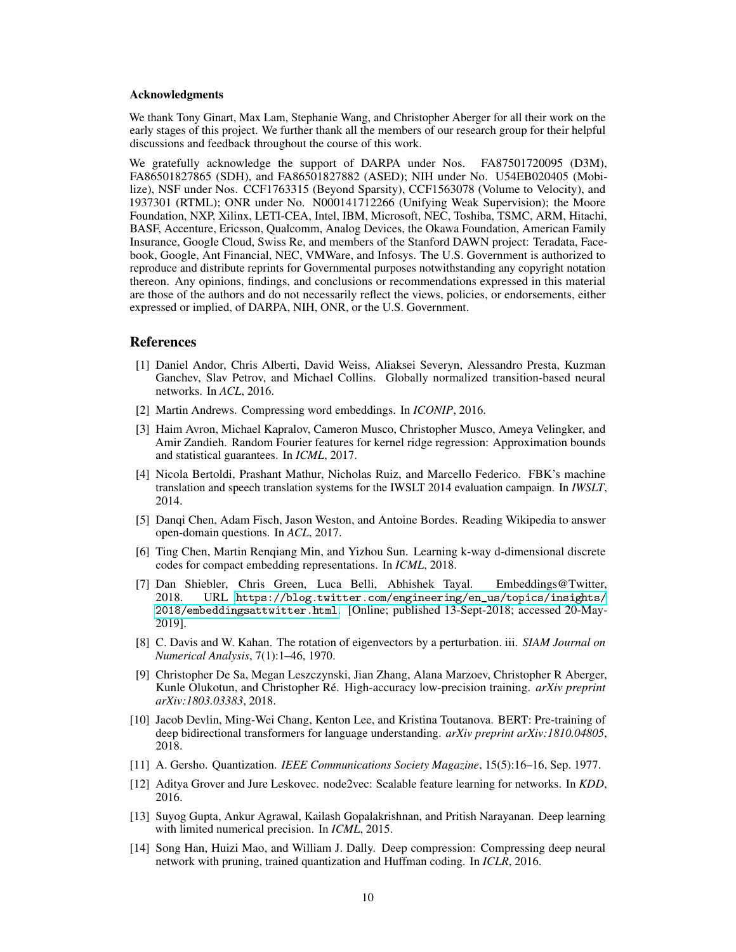#### Acknowledgments

We thank Tony Ginart, Max Lam, Stephanie Wang, and Christopher Aberger for all their work on the early stages of this project. We further thank all the members of our research group for their helpful discussions and feedback throughout the course of this work.

We gratefully acknowledge the support of DARPA under Nos. FA87501720095 (D3M), FA86501827865 (SDH), and FA86501827882 (ASED); NIH under No. U54EB020405 (Mobilize), NSF under Nos. CCF1763315 (Beyond Sparsity), CCF1563078 (Volume to Velocity), and 1937301 (RTML); ONR under No. N000141712266 (Unifying Weak Supervision); the Moore Foundation, NXP, Xilinx, LETI-CEA, Intel, IBM, Microsoft, NEC, Toshiba, TSMC, ARM, Hitachi, BASF, Accenture, Ericsson, Qualcomm, Analog Devices, the Okawa Foundation, American Family Insurance, Google Cloud, Swiss Re, and members of the Stanford DAWN project: Teradata, Facebook, Google, Ant Financial, NEC, VMWare, and Infosys. The U.S. Government is authorized to reproduce and distribute reprints for Governmental purposes notwithstanding any copyright notation thereon. Any opinions, findings, and conclusions or recommendations expressed in this material are those of the authors and do not necessarily reflect the views, policies, or endorsements, either expressed or implied, of DARPA, NIH, ONR, or the U.S. Government.

# References

- [1] Daniel Andor, Chris Alberti, David Weiss, Aliaksei Severyn, Alessandro Presta, Kuzman Ganchev, Slav Petrov, and Michael Collins. Globally normalized transition-based neural networks. In *ACL*, 2016.
- [2] Martin Andrews. Compressing word embeddings. In *ICONIP*, 2016.
- [3] Haim Avron, Michael Kapralov, Cameron Musco, Christopher Musco, Ameya Velingker, and Amir Zandieh. Random Fourier features for kernel ridge regression: Approximation bounds and statistical guarantees. In *ICML*, 2017.
- [4] Nicola Bertoldi, Prashant Mathur, Nicholas Ruiz, and Marcello Federico. FBK's machine translation and speech translation systems for the IWSLT 2014 evaluation campaign. In *IWSLT*, 2014.
- [5] Danqi Chen, Adam Fisch, Jason Weston, and Antoine Bordes. Reading Wikipedia to answer open-domain questions. In *ACL*, 2017.
- [6] Ting Chen, Martin Renqiang Min, and Yizhou Sun. Learning k-way d-dimensional discrete codes for compact embedding representations. In *ICML*, 2018.
- [7] Dan Shiebler, Chris Green, Luca Belli, Abhishek Tayal. Embeddings@Twitter, 2018. URL [https://blog.twitter.com/engineering/en\\_us/topics/insights/](https://blog.twitter.com/engineering/en_us/topics/insights/2018/embeddingsattwitter.html) [2018/embeddingsattwitter.html](https://blog.twitter.com/engineering/en_us/topics/insights/2018/embeddingsattwitter.html). [Online; published 13-Sept-2018; accessed 20-May-2019].
- [8] C. Davis and W. Kahan. The rotation of eigenvectors by a perturbation. iii. *SIAM Journal on Numerical Analysis*, 7(1):1–46, 1970.
- [9] Christopher De Sa, Megan Leszczynski, Jian Zhang, Alana Marzoev, Christopher R Aberger, Kunle Olukotun, and Christopher Ré. High-accuracy low-precision training. *arXiv preprint arXiv:1803.03383*, 2018.
- [10] Jacob Devlin, Ming-Wei Chang, Kenton Lee, and Kristina Toutanova. BERT: Pre-training of deep bidirectional transformers for language understanding. *arXiv preprint arXiv:1810.04805*, 2018.
- [11] A. Gersho. Quantization. *IEEE Communications Society Magazine*, 15(5):16–16, Sep. 1977.
- [12] Aditya Grover and Jure Leskovec. node2vec: Scalable feature learning for networks. In *KDD*, 2016.
- [13] Suyog Gupta, Ankur Agrawal, Kailash Gopalakrishnan, and Pritish Narayanan. Deep learning with limited numerical precision. In *ICML*, 2015.
- [14] Song Han, Huizi Mao, and William J. Dally. Deep compression: Compressing deep neural network with pruning, trained quantization and Huffman coding. In *ICLR*, 2016.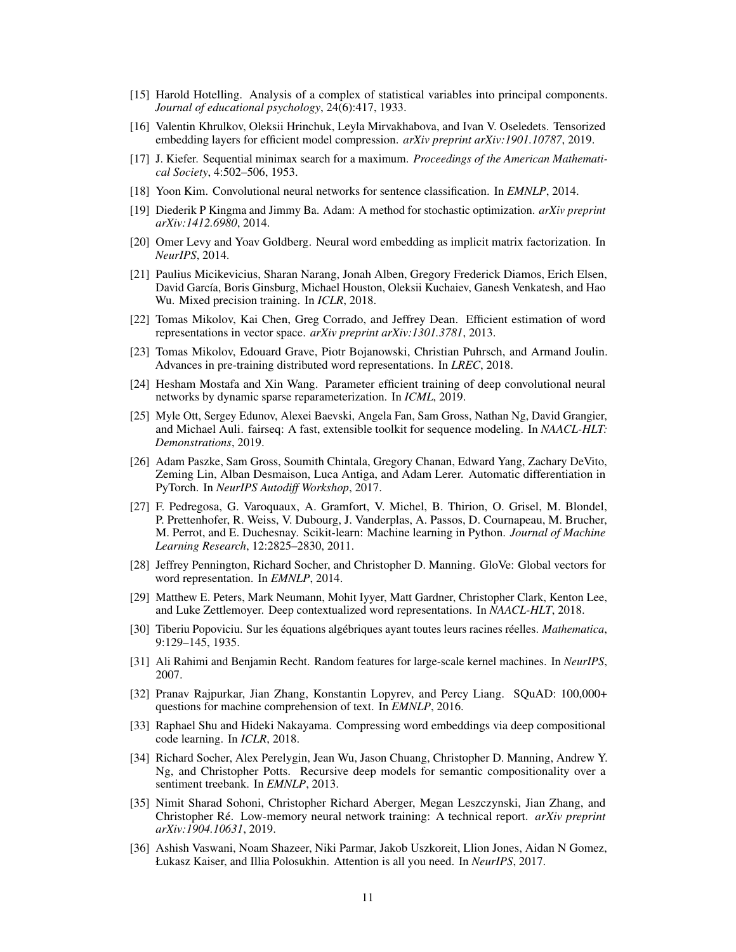- [15] Harold Hotelling. Analysis of a complex of statistical variables into principal components. *Journal of educational psychology*, 24(6):417, 1933.
- [16] Valentin Khrulkov, Oleksii Hrinchuk, Leyla Mirvakhabova, and Ivan V. Oseledets. Tensorized embedding layers for efficient model compression. *arXiv preprint arXiv:1901.10787*, 2019.
- [17] J. Kiefer. Sequential minimax search for a maximum. *Proceedings of the American Mathematical Society*, 4:502–506, 1953.
- [18] Yoon Kim. Convolutional neural networks for sentence classification. In *EMNLP*, 2014.
- [19] Diederik P Kingma and Jimmy Ba. Adam: A method for stochastic optimization. *arXiv preprint arXiv:1412.6980*, 2014.
- [20] Omer Levy and Yoav Goldberg. Neural word embedding as implicit matrix factorization. In *NeurIPS*, 2014.
- [21] Paulius Micikevicius, Sharan Narang, Jonah Alben, Gregory Frederick Diamos, Erich Elsen, David García, Boris Ginsburg, Michael Houston, Oleksii Kuchaiev, Ganesh Venkatesh, and Hao Wu. Mixed precision training. In *ICLR*, 2018.
- [22] Tomas Mikolov, Kai Chen, Greg Corrado, and Jeffrey Dean. Efficient estimation of word representations in vector space. *arXiv preprint arXiv:1301.3781*, 2013.
- [23] Tomas Mikolov, Edouard Grave, Piotr Bojanowski, Christian Puhrsch, and Armand Joulin. Advances in pre-training distributed word representations. In *LREC*, 2018.
- [24] Hesham Mostafa and Xin Wang. Parameter efficient training of deep convolutional neural networks by dynamic sparse reparameterization. In *ICML*, 2019.
- [25] Myle Ott, Sergey Edunov, Alexei Baevski, Angela Fan, Sam Gross, Nathan Ng, David Grangier, and Michael Auli. fairseq: A fast, extensible toolkit for sequence modeling. In *NAACL-HLT: Demonstrations*, 2019.
- [26] Adam Paszke, Sam Gross, Soumith Chintala, Gregory Chanan, Edward Yang, Zachary DeVito, Zeming Lin, Alban Desmaison, Luca Antiga, and Adam Lerer. Automatic differentiation in PyTorch. In *NeurIPS Autodiff Workshop*, 2017.
- [27] F. Pedregosa, G. Varoquaux, A. Gramfort, V. Michel, B. Thirion, O. Grisel, M. Blondel, P. Prettenhofer, R. Weiss, V. Dubourg, J. Vanderplas, A. Passos, D. Cournapeau, M. Brucher, M. Perrot, and E. Duchesnay. Scikit-learn: Machine learning in Python. *Journal of Machine Learning Research*, 12:2825–2830, 2011.
- [28] Jeffrey Pennington, Richard Socher, and Christopher D. Manning. GloVe: Global vectors for word representation. In *EMNLP*, 2014.
- [29] Matthew E. Peters, Mark Neumann, Mohit Iyyer, Matt Gardner, Christopher Clark, Kenton Lee, and Luke Zettlemoyer. Deep contextualized word representations. In *NAACL-HLT*, 2018.
- [30] Tiberiu Popoviciu. Sur les équations algébriques ayant toutes leurs racines réelles. *Mathematica*, 9:129–145, 1935.
- [31] Ali Rahimi and Benjamin Recht. Random features for large-scale kernel machines. In *NeurIPS*, 2007.
- [32] Pranav Rajpurkar, Jian Zhang, Konstantin Lopyrev, and Percy Liang. SQuAD: 100,000+ questions for machine comprehension of text. In *EMNLP*, 2016.
- [33] Raphael Shu and Hideki Nakayama. Compressing word embeddings via deep compositional code learning. In *ICLR*, 2018.
- [34] Richard Socher, Alex Perelygin, Jean Wu, Jason Chuang, Christopher D. Manning, Andrew Y. Ng, and Christopher Potts. Recursive deep models for semantic compositionality over a sentiment treebank. In *EMNLP*, 2013.
- [35] Nimit Sharad Sohoni, Christopher Richard Aberger, Megan Leszczynski, Jian Zhang, and Christopher Ré. Low-memory neural network training: A technical report. *arXiv preprint arXiv:1904.10631*, 2019.
- [36] Ashish Vaswani, Noam Shazeer, Niki Parmar, Jakob Uszkoreit, Llion Jones, Aidan N Gomez, Łukasz Kaiser, and Illia Polosukhin. Attention is all you need. In *NeurIPS*, 2017.